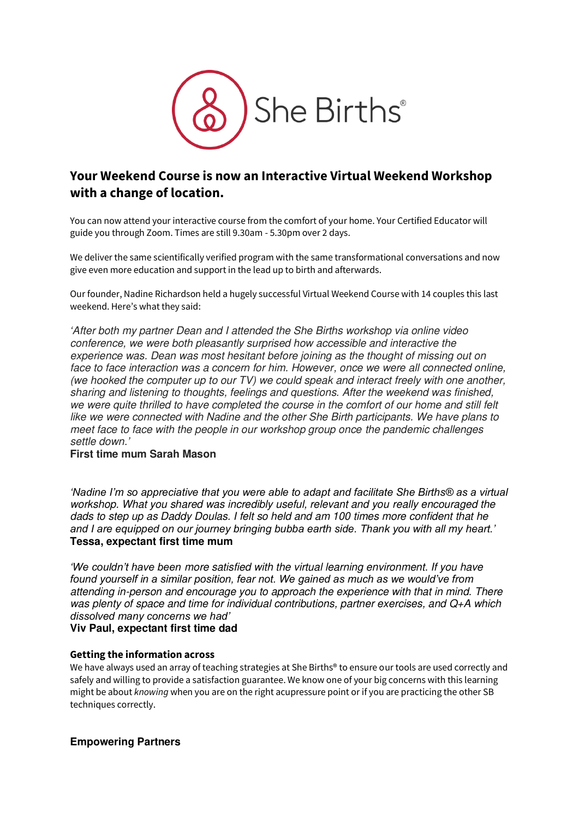

# **Your Weekend Course is now an Interactive Virtual Weekend Workshop with a change of location.**

You can now attend your interactive course from the comfort of your home. Your Certified Educator will guide you through Zoom. Times are still 9.30am - 5.30pm over 2 days.

We deliver the same scientifically verified program with the same transformational conversations and now give even more education and support in the lead up to birth and afterwards.

Our founder, Nadine Richardson held a hugely successful Virtual Weekend Course with 14 couples this last weekend. Here's what they said:

*'*After both my partner Dean and I attended the She Births workshop via online video conference, we were both pleasantly surprised how accessible and interactive the experience was. Dean was most hesitant before joining as the thought of missing out on face to face interaction was a concern for him. However, once we were all connected online, (we hooked the computer up to our TV) we could speak and interact freely with one another, sharing and listening to thoughts, feelings and questions. After the weekend was finished, we were quite thrilled to have completed the course in the comfort of our home and still felt like we were connected with Nadine and the other She Birth participants. We have plans to meet face to face with the people in our workshop group once the pandemic challenges settle down.*'*

## **First time mum Sarah Mason**

*'Nadine I'm so appreciative that you were able to adapt and facilitate She Births® as a virtual*  workshop. What you shared was incredibly useful, relevant and you really encouraged the dads to step up as Daddy Doulas. I felt so held and am 100 times more confident that he *and I are equipped on our journey bringing bubba earth side. Thank you with all my heart.'* **Tessa, expectant first time mum**

*'We couldn't have been* more satisfied with the virtual learning environment. If you have *found yourself in a similar position, fear not. We gained as much as we would've from*  attending in-person and encourage you to approach the experience with that in mind. There was plenty of space and time for individual contributions, partner exercises, and Q+A which *dissolved many concerns we had'*

## **Viv Paul, expectant first time dad**

#### **Getting the information across**

We have always used an array of teaching strategies at She Births<sup>®</sup> to ensure our tools are used correctly and safely and willing to provide a satisfaction guarantee. We know one of your big concerns with this learning might be about *knowing* when you are on the right acupressure point or if you are practicing the other SB techniques correctly.

## **Empowering Partners**